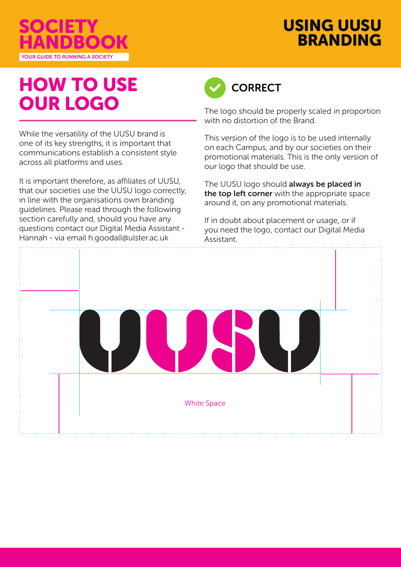

# USING UUSU BRANDING

# HOW TO USE OUR LOGO

While the versatility of the UUSU brand is one of its key strengths, it is important that communications establish a consistent style across all platforms and uses.

It is important therefore, as affiliates of UUSU, that our societies use the UUSU logo correctly, in line with the organisations own branding guidelines. Please read through the following section carefully and, should you have any questions contact our Digital Media Assistant - Hannah - via email h.goodall@ulster.ac.uk



The logo should be properly scaled in proportion with no distortion of the Brand.

This version of the logo is to be used internally on each Campus, and by our societies on their promotional materials. This is the only version of our logo that should be use.

The UUSU logo should always be placed in the top left corner with the appropriate space around it, on any promotional materials.

If in doubt about placement or usage, or if you need the logo, contact our Digital Media Assistant.